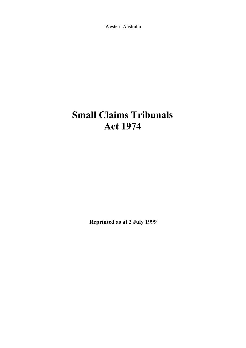Western Australia

# Small Claims Tribunals Act 1974

Reprinted as at 2 July 1999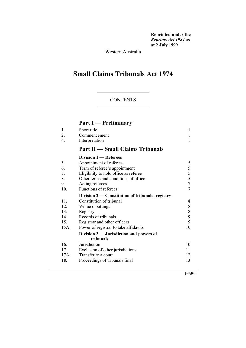Reprinted under the Reprints Act 1984 as at 2 July 1999

Western Australia

# Small Claims Tribunals Act 1974

#### CONTENTS

# Part I — Preliminary

| 1.  | Short title                             |   |
|-----|-----------------------------------------|---|
| 2.  | Commencement                            |   |
|     | Interpretation                          |   |
|     | <b>Part II</b> — Small Claims Tribunals |   |
|     | Division 1 - Referees                   |   |
| 5.  | Appointment of referees                 | 5 |
| 6.  | Term of referee's appointment           | 5 |
| 7.  | Eligibility to hold office as referee   | 5 |
| 8.  | Other terms and conditions of office    | 5 |
| 9.  | Acting referees                         | 7 |
| 10. | Functions of referees                   | 7 |

# Division 2 — Constitution of tribunals; registry

| 11.  | Constitution of tribunal                  | 8  |
|------|-------------------------------------------|----|
| 12.  | Venue of sittings                         | 8  |
| 13.  | Registry                                  | 8  |
| 14.  | Records of tribunals                      | 9  |
| 15.  | Registrar and other officers              | 9  |
| 15A. | Power of registrar to take affidavits     | 10 |
|      | Division $3$ — Jurisdiction and powers of |    |
|      | tribunals                                 |    |
| 16.  | Jurisdiction                              | 10 |
| 17.  | Exclusion of other jurisdictions          | 11 |
| 17A. | Transfer to a court                       | 12 |
| 18.  | Proceedings of tribunals final            | 13 |
|      |                                           |    |

page i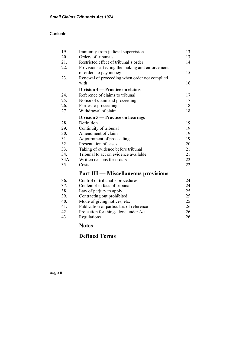| 19.  | Immunity from judicial supervision              | 13 |
|------|-------------------------------------------------|----|
| 20.  | Orders of tribunals                             | 13 |
| 21.  | Restricted effect of tribunal's order           | 14 |
| 22.  | Provisions affecting the making and enforcement |    |
|      | of orders to pay money                          | 15 |
| 23.  | Renewal of proceeding when order not complied   |    |
|      | with                                            | 16 |
|      | Division 4 – Practice on claims                 |    |
| 24.  | Reference of claims to tribunal                 | 17 |
| 25.  | Notice of claim and proceeding                  | 17 |
| 26.  | Parties to proceeding                           | 18 |
| 27.  | Withdrawal of claim                             | 18 |
|      | Division 5 — Practice on hearings               |    |
| 28.  | Definition                                      | 19 |
| 29.  | Continuity of tribunal                          | 19 |
| 30.  | Amendment of claim                              | 19 |
| 31.  | Adjournment of proceeding                       | 19 |
| 32.  | Presentation of cases                           | 20 |
| 33.  | Taking of evidence before tribunal              | 21 |
| 34.  | Tribunal to act on evidence available           | 21 |
| 34A. | Written reasons for orders                      | 22 |
| 35.  | Costs                                           | 22 |
|      | <b>Part III — Miscellaneous provisions</b>      |    |
| 36.  | Control of tribunal's procedures                | 24 |
| 37.  | Contempt in face of tribunal                    | 24 |
| 38.  | Law of perjury to apply                         | 25 |
| 39.  | Contracting out prohibited                      | 25 |
| 40.  | Mode of giving notices, etc.                    | 25 |
| 41.  | Publication of particulars of reference         | 26 |
| 42.  | Protection for things done under Act            | 26 |
| 43.  | Regulations                                     | 26 |

# Notes

# Defined Terms

page ii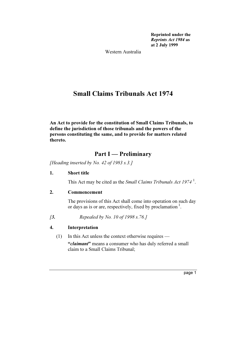Reprinted under the Reprints Act 1984 as at 2 July 1999

Western Australia

# Small Claims Tribunals Act 1974

An Act to provide for the constitution of Small Claims Tribunals, to define the jurisdiction of those tribunals and the powers of the persons constituting the same, and to provide for matters related thereto.

# Part I — Preliminary

[Heading inserted by No. 42 of 1983 s.3.]

#### 1. Short title

This Act may be cited as the *Small Claims Tribunals Act 1974*<sup>1</sup>.

# 2. Commencement

 The provisions of this Act shall come into operation on such day or days as is or are, respectively, fixed by proclamation<sup>1</sup>.

[3. Repealed by No. 10 of 1998 s. 76.]

# 4. Interpretation

(1) In this Act unless the context otherwise requires —

"claimant" means a consumer who has duly referred a small claim to a Small Claims Tribunal;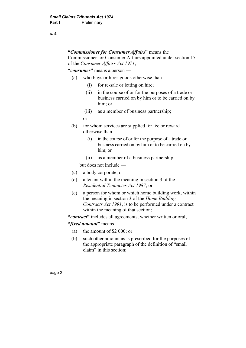#### s. 4

# "Commissioner for Consumer Affairs" means the Commissioner for Consumer Affairs appointed under section 15 of the Consumer Affairs Act 1971;

#### "consumer" means a person —

- (a) who buys or hires goods otherwise than
	- (i) for re-sale or letting on hire;
	- (ii) in the course of or for the purposes of a trade or business carried on by him or to be carried on by him; or
	- (iii) as a member of business partnership;

or

- (b) for whom services are supplied for fee or reward otherwise than —
	- (i) in the course of or for the purpose of a trade or business carried on by him or to be carried on by him; or
	- (ii) as a member of a business partnership,

but does not include —

- (c) a body corporate; or
- (d) a tenant within the meaning in section 3 of the Residential Tenancies Act 1987; or
- (e) a person for whom or which home building work, within the meaning in section 3 of the Home Building Contracts Act 1991, is to be performed under a contract within the meaning of that section;

"contract" includes all agreements, whether written or oral;

#### "*fixed amount*" means —

- (a) the amount of \$2 000; or
- (b) such other amount as is prescribed for the purposes of the appropriate paragraph of the definition of "small claim" in this section;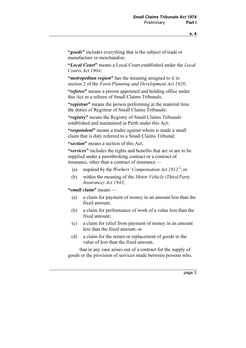"goods" includes everything that is the subject of trade or manufacture or merchandise;

"Local Court" means a Local Court established under the Local Courts Act 1904;

"*metropolitan region*" has the meaning assigned to it in section 2 of the Town Planning and Development Act 1928;

"referee" means a person appointed and holding office under this Act as a referee of Small Claims Tribunals;

"registrar" means the person performing at the material time the duties of Registrar of Small Claims Tribunals;

"registry" means the Registry of Small Claims Tribunals established and maintained in Perth under this Act;

"respondent" means a trader against whom is made a small claim that is duly referred to a Small Claims Tribunal;

"section" means a section of this Act:

"services" includes the rights and benefits that are or are to be supplied under a pawnbroking contract or a contract of insurance, other than a contract of insurance —

- (a) required by the *Workers' Compensation Act 1912*<sup>2</sup>; or
	- (b) within the meaning of the Motor Vehicle (Third Party Insurance) Act 1943;

"small claim" means —

- (a) a claim for payment of money in an amount less than the fixed amount;
- (b) a claim for performance of work of a value less than the fixed amount;
- (c) a claim for relief from payment of money in an amount less than the fixed amount; or
- (d) a claim for the return or replacement of goods to the value of less than the fixed amount,

 that in any case arises out of a contract for the supply of goods or the provision of services made between persons who,

page 3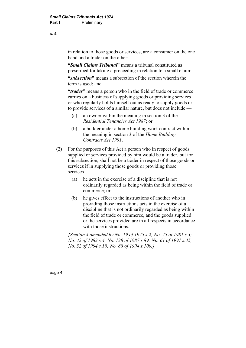in relation to those goods or services, are a consumer on the one hand and a trader on the other;

"Small Claims Tribunal" means a tribunal constituted as prescribed for taking a proceeding in relation to a small claim;

"subsection" means a subsection of the section wherein the term is used; and

"*trader*" means a person who in the field of trade or commerce carries on a business of supplying goods or providing services or who regularly holds himself out as ready to supply goods or to provide services of a similar nature, but does not include —

- (a) an owner within the meaning in section 3 of the Residential Tenancies Act 1987; or
- (b) a builder under a home building work contract within the meaning in section 3 of the Home Building Contracts Act 1991.
- (2) For the purposes of this Act a person who in respect of goods supplied or services provided by him would be a trader, but for this subsection, shall not be a trader in respect of those goods or services if in supplying those goods or providing those services —
	- (a) he acts in the exercise of a discipline that is not ordinarily regarded as being within the field of trade or commerce; or
	- (b) he gives effect to the instructions of another who in providing those instructions acts in the exercise of a discipline that is not ordinarily regarded as being within the field of trade or commerce, and the goods supplied or the services provided are in all respects in accordance with those instructions.

[Section 4 amended by No. 19 of 1975 s.2; No. 75 of 1981 s.3; No. 42 of 1983 s.4; No. 128 of 1987 s.89; No. 61 of 1991 s.35; No. 32 of 1994 s.19; No. 88 of 1994 s.100.]

s. 4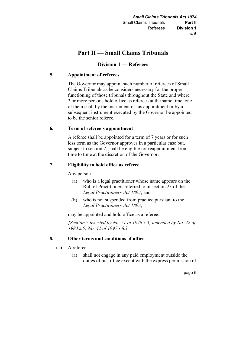# Part II — Small Claims Tribunals

# Division 1 — Referees

# 5. Appointment of referees

 The Governor may appoint such number of referees of Small Claims Tribunals as he considers necessary for the proper functioning of those tribunals throughout the State and where 2 or more persons hold office as referees at the same time, one of them shall by the instrument of his appointment or by a subsequent instrument executed by the Governor be appointed to be the senior referee.

# 6. Term of referee's appointment

 A referee shall be appointed for a term of 7 years or for such less term as the Governor approves in a particular case but, subject to section 7, shall be eligible for reappointment from time to time at the discretion of the Governor.

# 7. Eligibility to hold office as referee

Any person —

- (a) who is a legal practitioner whose name appears on the Roll of Practitioners referred to in section 23 of the Legal Practitioners Act 1893; and
- (b) who is not suspended from practice pursuant to the Legal Practitioners Act 1893,

may be appointed and hold office as a referee.

[Section 7 inserted by No. 71 of 1978 s.3; amended by No. 42 of 1983 s.5; No. 42 of 1997 s.8.]

# 8. Other terms and conditions of office

- $(1)$  A referee
	- (a) shall not engage in any paid employment outside the duties of his office except with the express permission of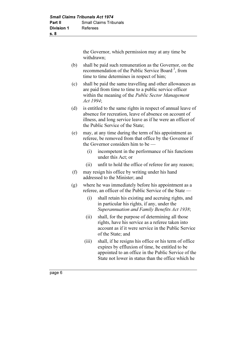the Governor, which permission may at any time be withdrawn;

- (b) shall be paid such remuneration as the Governor, on the recommendation of the Public Service Board<sup>3</sup>, from time to time determines in respect of him;
- (c) shall be paid the same travelling and other allowances as are paid from time to time to a public service officer within the meaning of the Public Sector Management Act 1994;
- (d) is entitled to the same rights in respect of annual leave of absence for recreation, leave of absence on account of illness, and long service leave as if he were an officer of the Public Service of the State;
- (e) may, at any time during the term of his appointment as referee, be removed from that office by the Governor if the Governor considers him to be —
	- (i) incompetent in the performance of his functions under this Act; or
	- (ii) unfit to hold the office of referee for any reason;
- (f) may resign his office by writing under his hand addressed to the Minister; and
- (g) where he was immediately before his appointment as a referee, an officer of the Public Service of the State —
	- (i) shall retain his existing and accruing rights, and in particular his rights, if any, under the Superannuation and Family Benefits Act 1938;
	- (ii) shall, for the purpose of determining all those rights, have his service as a referee taken into account as if it were service in the Public Service of the State; and
	- (iii) shall, if he resigns his office or his term of office expires by effluxion of time, be entitled to be appointed to an office in the Public Service of the State not lower in status than the office which he

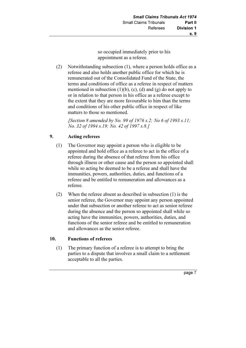so occupied immediately prior to his appointment as a referee.

 (2) Notwithstanding subsection (1), where a person holds office as a referee and also holds another public office for which he is remunerated out of the Consolidated Fund of the State, the terms and conditions of office as a referee in respect of matters mentioned in subsection  $(1)(b)$ ,  $(c)$ ,  $(d)$  and  $(g)$  do not apply to or in relation to that person in his office as a referee except to the extent that they are more favourable to him than the terms and conditions of his other public office in respect of like matters to those so mentioned.

[Section 8 amended by No. 99 of 1976 s.2; No 6 of 1993 s.11; No. 32 of 1994 s.19; No. 42 of 1997 s.8.]

# 9. Acting referees

- (1) The Governor may appoint a person who is eligible to be appointed and hold office as a referee to act in the office of a referee during the absence of that referee from his office through illness or other cause and the person so appointed shall while so acting be deemed to be a referee and shall have the immunities, powers, authorities, duties, and functions of a referee and be entitled to remuneration and allowances as a referee.
- (2) When the referee absent as described in subsection (1) is the senior referee, the Governor may appoint any person appointed under that subsection or another referee to act as senior referee during the absence and the person so appointed shall while so acting have the immunities, powers, authorities, duties, and functions of the senior referee and be entitled to remuneration and allowances as the senior referee.

# 10. Functions of referees

 (1) The primary function of a referee is to attempt to bring the parties to a dispute that involves a small claim to a settlement acceptable to all the parties.

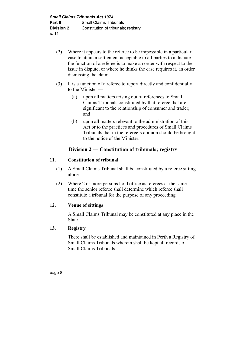- (2) Where it appears to the referee to be impossible in a particular case to attain a settlement acceptable to all parties to a dispute the function of a referee is to make an order with respect to the issue in dispute, or where he thinks the case requires it, an order dismissing the claim.
- (3) It is a function of a referee to report directly and confidentially to the Minister —
	- (a) upon all matters arising out of references to Small Claims Tribunals constituted by that referee that are significant to the relationship of consumer and trader; and
	- (b) upon all matters relevant to the administration of this Act or to the practices and procedures of Small Claims Tribunals that in the referee's opinion should be brought to the notice of the Minister.

# Division 2 — Constitution of tribunals; registry

# 11. Constitution of tribunal

- (1) A Small Claims Tribunal shall be constituted by a referee sitting alone.
- (2) Where 2 or more persons hold office as referees at the same time the senior referee shall determine which referee shall constitute a tribunal for the purpose of any proceeding.

# 12. Venue of sittings

 A Small Claims Tribunal may be constituted at any place in the State.

# 13. Registry

 There shall be established and maintained in Perth a Registry of Small Claims Tribunals wherein shall be kept all records of Small Claims Tribunals.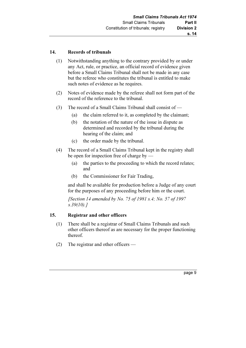#### 14. Records of tribunals

- (1) Notwithstanding anything to the contrary provided by or under any Act, rule, or practice, an official record of evidence given before a Small Claims Tribunal shall not be made in any case but the referee who constitutes the tribunal is entitled to make such notes of evidence as he requires.
- (2) Notes of evidence made by the referee shall not form part of the record of the reference to the tribunal.
- (3) The record of a Small Claims Tribunal shall consist of
	- (a) the claim referred to it, as completed by the claimant;
	- (b) the notation of the nature of the issue in dispute as determined and recorded by the tribunal during the hearing of the claim; and
	- (c) the order made by the tribunal.
- (4) The record of a Small Claims Tribunal kept in the registry shall be open for inspection free of charge by —
	- (a) the parties to the proceeding to which the record relates; and
	- (b) the Commissioner for Fair Trading,

 and shall be available for production before a Judge of any court for the purposes of any proceeding before him or the court.

[Section 14 amended by No. 75 of 1981 s.4; No. 57 of 1997]  $s.39(10).$ 

#### 15. Registrar and other officers

- (1) There shall be a registrar of Small Claims Tribunals and such other officers thereof as are necessary for the proper functioning thereof.
- (2) The registrar and other officers —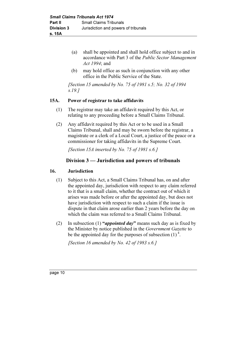- (a) shall be appointed and shall hold office subject to and in accordance with Part 3 of the Public Sector Management Act 1994; and
- (b) may hold office as such in conjunction with any other office in the Public Service of the State.

[Section 15 amended by No. 75 of 1981 s.5; No. 32 of 1994] s.19.]

#### 15A. Power of registrar to take affidavits

- (1) The registrar may take an affidavit required by this Act, or relating to any proceeding before a Small Claims Tribunal.
- (2) Any affidavit required by this Act or to be used in a Small Claims Tribunal, shall and may be sworn before the registrar, a magistrate or a clerk of a Local Court, a justice of the peace or a commissioner for taking affidavits in the Supreme Court.

[Section 15A inserted by No. 75 of 1981 s.6.]

# Division 3 — Jurisdiction and powers of tribunals

#### 16. Jurisdiction

- (1) Subject to this Act, a Small Claims Tribunal has, on and after the appointed day, jurisdiction with respect to any claim referred to it that is a small claim, whether the contract out of which it arises was made before or after the appointed day, but does not have jurisdiction with respect to such a claim if the issue is dispute in that claim arose earlier than 2 years before the day on which the claim was referred to a Small Claims Tribunal.
- (2) In subsection (1) "appointed day" means such day as is fixed by the Minister by notice published in the Government Gazette to be the appointed day for the purposes of subsection  $(1)^4$ .

[Section 16 amended by No. 42 of 1983 s.6.]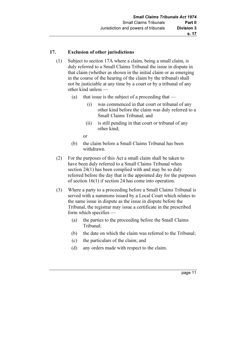#### 17. Exclusion of other jurisdictions

- (1) Subject to section 17A where a claim, being a small claim, is duly referred to a Small Claims Tribunal the issue in dispute in that claim (whether as shown in the initial claim or as emerging in the course of the hearing of the claim by the tribunal) shall not be justiciable at any time by a court or by a tribunal of any other kind unless —
	- (a) that issue is the subject of a proceeding that  $-$ 
		- (i) was commenced in that court or tribunal of any other kind before the claim was duly referred to a Small Claims Tribunal; and
		- (ii) is still pending in that court or tribunal of any other kind;

or

- (b) the claim before a Small Claims Tribunal has been withdrawn.
- (2) For the purposes of this Act a small claim shall be taken to have been duly referred to a Small Claims Tribunal when section 24(1) has been complied with and may be so duly referred before the day that is the appointed day for the purposes of section 16(1) if section 24 has come into operation.
- (3) Where a party to a proceeding before a Small Claims Tribunal is served with a summons issued by a Local Court which relates to the same issue in dispute as the issue in dispute before the Tribunal, the registrar may issue a certificate in the prescribed form which specifies —
	- (a) the parties to the proceeding before the Small Claims Tribunal;
	- (b) the date on which the claim was referred to the Tribunal;
	- (c) the particulars of the claim; and
	- (d) any orders made with respect to the claim.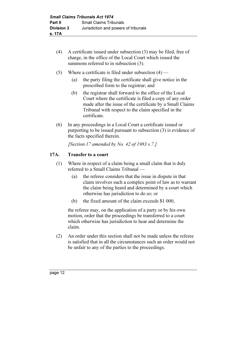- (4) A certificate issued under subsection (3) may be filed, free of charge, in the office of the Local Court which issued the summons referred to in subsection  $(3)$ .
- (5) Where a certificate is filed under subsection  $(4)$ 
	- (a) the party filing the certificate shall give notice in the prescribed form to the registrar; and
	- (b) the registrar shall forward to the office of the Local Court where the certificate is filed a copy of any order made after the issue of the certificate by a Small Claims Tribunal with respect to the claim specified in the certificate.
- (6) In any proceedings in a Local Court a certificate issued or purporting to be issued pursuant to subsection (3) is evidence of the facts specified therein.

[Section 17 amended by No. 42 of 1983 s.7.]

# 17A. Transfer to a court

- (1) Where in respect of a claim being a small claim that is duly referred to a Small Claims Tribunal —
	- (a) the referee considers that the issue in dispute in that claim involves such a complex point of law as to warrant the claim being heard and determined by a court which otherwise has jurisdiction to do so; or
	- (b) the fixed amount of the claim exceeds \$1 000,

 the referee may, on the application of a party or by his own motion, order that the proceedings be transferred to a court which otherwise has jurisdiction to hear and determine the claim.

 (2) An order under this section shall not be made unless the referee is satisfied that in all the circumstances such an order would not be unfair to any of the parties to the proceedings.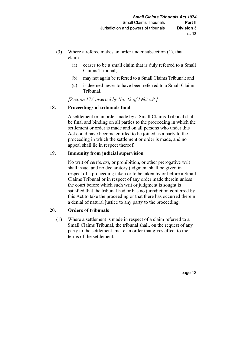- (3) Where a referee makes an order under subsection (1), that claim —
	- (a) ceases to be a small claim that is duly referred to a Small Claims Tribunal;
	- (b) may not again be referred to a Small Claims Tribunal; and
	- (c) is deemed never to have been referred to a Small Claims Tribunal.

[Section 17A inserted by No. 42 of 1983 s.8.]

# 18. Proceedings of tribunals final

 A settlement or an order made by a Small Claims Tribunal shall be final and binding on all parties to the proceeding in which the settlement or order is made and on all persons who under this Act could have become entitled to be joined as a party to the proceeding in which the settlement or order is made, and no appeal shall lie in respect thereof.

# 19. Immunity from judicial supervision

 No writ of certiorari, or prohibition, or other prerogative writ shall issue, and no declaratory judgment shall be given in respect of a proceeding taken or to be taken by or before a Small Claims Tribunal or in respect of any order made therein unless the court before which such writ or judgment is sought is satisfied that the tribunal had or has no jurisdiction conferred by this Act to take the proceeding or that there has occurred therein a denial of natural justice to any party to the proceeding.

# 20. Orders of tribunals

 (1) Where a settlement is made in respect of a claim referred to a Small Claims Tribunal, the tribunal shall, on the request of any party to the settlement, make an order that gives effect to the terms of the settlement.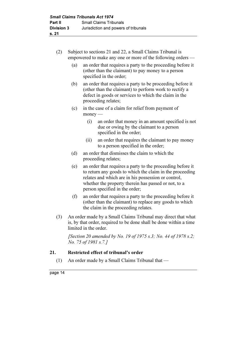- (2) Subject to sections 21 and 22, a Small Claims Tribunal is empowered to make any one or more of the following orders —
	- (a) an order that requires a party to the proceeding before it (other than the claimant) to pay money to a person specified in the order;
	- (b) an order that requires a party to be proceeding before it (other than the claimant) to perform work to rectify a defect in goods or services to which the claim in the proceeding relates;
	- (c) in the case of a claim for relief from payment of money —
		- (i) an order that money in an amount specified is not due or owing by the claimant to a person specified in the order;
		- (ii) an order that requires the claimant to pay money to a person specified in the order;
	- (d) an order that dismisses the claim to which the proceeding relates;
	- (e) an order that requires a party to the proceeding before it to return any goods to which the claim in the proceeding relates and which are in his possession or control, whether the property therein has passed or not, to a person specified in the order;
	- (f) an order that requires a party to the proceeding before it (other than the claimant) to replace any goods to which the claim in the proceeding relates.
- (3) An order made by a Small Claims Tribunal may direct that what is, by that order, required to be done shall be done within a time limited in the order.

[Section 20 amended by No. 19 of 1975 s.3; No. 44 of 1978 s.2; No. 75 of 1981 s.7.]

# 21. Restricted effect of tribunal's order

(1) An order made by a Small Claims Tribunal that —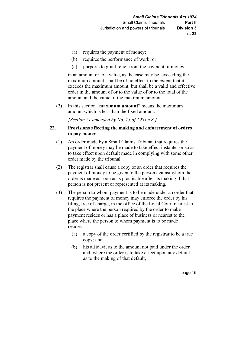- (a) requires the payment of money;
- (b) requires the performance of work; or
- (c) purports to grant relief from the payment of money,

 in an amount or to a value, as the case may be, exceeding the maximum amount, shall be of no effect to the extent that it exceeds the maximum amount, but shall be a valid and effective order in the amount of or to the value of or to the total of the amount and the value of the maximum amount.

 (2) In this section "maximum amount" means the maximum amount which is less than the fixed amount.

[Section 21 amended by No. 75 of 1981 s.8.]

#### 22. Provisions affecting the making and enforcement of orders to pay money

- (1) An order made by a Small Claims Tribunal that requires the payment of money may be made to take effect instanter or so as to take effect upon default made in complying with some other order made by the tribunal.
- (2) The registrar shall cause a copy of an order that requires the payment of money to be given to the person against whom the order is made as soon as is practicable after its making if that person is not present or represented at its making.
- (3) The person to whom payment is to be made under an order that requires the payment of money may enforce the order by his filing, free of charge, in the office of the Local Court nearest to the place where the person required by the order to make payment resides or has a place of business or nearest to the place where the person to whom payment is to be made resides —
	- (a) a copy of the order certified by the registrar to be a true copy; and
	- (b) his affidavit as to the amount not paid under the order and, where the order is to take effect upon any default, as to the making of that default,

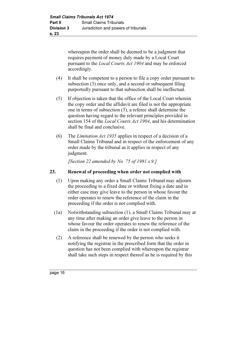whereupon the order shall be deemed to be a judgment that requires payment of money duly made by a Local Court pursuant to the Local Courts Act 1904 and may be enforced accordingly.

- (4) It shall be competent to a person to file a copy order pursuant to subsection (3) once only, and a second or subsequent filing purportedly pursuant to that subsection shall be ineffectual.
- (5) If objection is taken that the office of the Local Court wherein the copy order and the affidavit are filed is not the appropriate one in terms of subsection (3), a referee shall determine the question having regard to the relevant principles provided in section 154 of the *Local Courts Act 1904*, and his determination shall be final and conclusive.
- (6) The Limitation Act 1935 applies in respect of a decision of a Small Claims Tribunal and in respect of the enforcement of any order made by the tribunal as it applies in respect of any judgment.

[Section 22 amended by No. 75 of 1981 s.9.]

#### 23. Renewal of proceeding when order not complied with

- (1) Upon making any order a Small Claims Tribunal may adjourn the proceeding to a fixed date or without fixing a date and in either case may give leave to the person in whose favour the order operates to renew the reference of the claim in the proceeding if the order is not complied with.
- (1a) Notwithstanding subsection (1), a Small Claims Tribunal may at any time after making an order give leave to the person in whose favour the order operates to renew the reference of the claim in the proceeding if the order is not complied with.
- (2) A reference shall be renewed by the person who seeks it notifying the registrar in the prescribed form that the order in question has not been complied with whereupon the registrar shall take such steps in respect thereof as he is required by this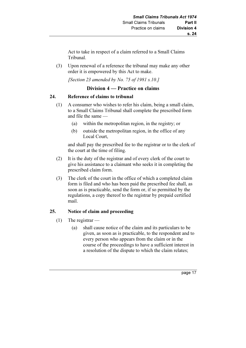Act to take in respect of a claim referred to a Small Claims Tribunal.

 (3) Upon renewal of a reference the tribunal may make any other order it is empowered by this Act to make.

[Section 23 amended by No. 75 of 1981 s.10.]

# Division 4 — Practice on claims

#### 24. Reference of claims to tribunal

- (1) A consumer who wishes to refer his claim, being a small claim, to a Small Claims Tribunal shall complete the prescribed form and file the same —
	- (a) within the metropolitan region, in the registry; or
	- (b) outside the metropolitan region, in the office of any Local Court,

 and shall pay the prescribed fee to the registrar or to the clerk of the court at the time of filing.

- (2) It is the duty of the registrar and of every clerk of the court to give his assistance to a claimant who seeks it in completing the prescribed claim form.
- (3) The clerk of the court in the office of which a completed claim form is filed and who has been paid the prescribed fee shall, as soon as is practicable, send the form or, if so permitted by the regulations, a copy thereof to the registrar by prepaid certified mail.

# 25. Notice of claim and proceeding

- (1) The registrar
	- (a) shall cause notice of the claim and its particulars to be given, as soon as is practicable, to the respondent and to every person who appears from the claim or in the course of the proceedings to have a sufficient interest in a resolution of the dispute to which the claim relates;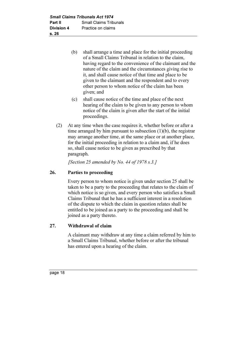- (b) shall arrange a time and place for the initial proceeding of a Small Claims Tribunal in relation to the claim, having regard to the convenience of the claimant and the nature of the claim and the circumstances giving rise to it, and shall cause notice of that time and place to be given to the claimant and the respondent and to every other person to whom notice of the claim has been given; and
- (c) shall cause notice of the time and place of the next hearing of the claim to be given to any person to whom notice of the claim is given after the start of the initial proceedings.
- (2) At any time when the case requires it, whether before or after a time arranged by him pursuant to subsection (1)(b), the registrar may arrange another time, at the same place or at another place, for the initial proceeding in relation to a claim and, if he does so, shall cause notice to be given as prescribed by that paragraph.

[Section 25 amended by No. 44 of 1978 s.3.]

# 26. Parties to proceeding

 Every person to whom notice is given under section 25 shall be taken to be a party to the proceeding that relates to the claim of which notice is so given, and every person who satisfies a Small Claims Tribunal that he has a sufficient interest in a resolution of the dispute to which the claim in question relates shall be entitled to be joined as a party to the proceeding and shall be joined as a party thereto.

# 27. Withdrawal of claim

 A claimant may withdraw at any time a claim referred by him to a Small Claims Tribunal, whether before or after the tribunal has entered upon a hearing of the claim.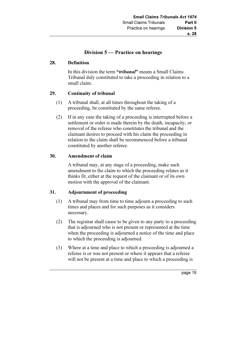# Division 5 — Practice on hearings

#### 28. Definition

In this division the term "*tribunal*" means a Small Claims Tribunal duly constituted to take a proceeding in relation to a small claim.

#### 29. Continuity of tribunal

- (1) A tribunal shall, at all times throughout the taking of a proceeding, be constituted by the same referee.
- (2) If in any case the taking of a proceeding is interrupted before a settlement or order is made therein by the death, incapacity, or removal of the referee who constitutes the tribunal and the claimant desires to proceed with his claim the proceeding in relation to the claim shall be recommenced before a tribunal constituted by another referee.

#### 30. Amendment of claim

 A tribunal may, at any stage of a proceeding, make such amendment to the claim to which the proceeding relates as it thinks fit, either at the request of the claimant or of its own motion with the approval of the claimant.

#### 31. Adjournment of proceeding

- (1) A tribunal may from time to time adjourn a proceeding to such times and places and for such purposes as it considers necessary.
- (2) The registrar shall cause to be given to any party to a proceeding that is adjourned who is not present or represented at the time when the proceeding is adjourned a notice of the time and place to which the proceeding is adjourned.
- (3) Where at a time and place to which a proceeding is adjourned a referee is or was not present or where it appears that a referee will not be present at a time and place to which a proceeding is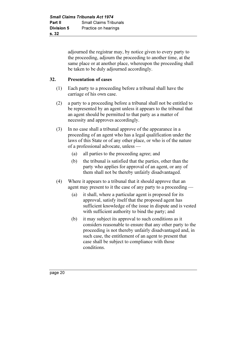adjourned the registrar may, by notice given to every party to the proceeding, adjourn the proceeding to another time, at the same place or at another place, whereupon the proceeding shall be taken to be duly adjourned accordingly.

# 32. Presentation of cases

- (1) Each party to a proceeding before a tribunal shall have the carriage of his own case.
- (2) a party to a proceeding before a tribunal shall not be entitled to be represented by an agent unless it appears to the tribunal that an agent should be permitted to that party as a matter of necessity and approves accordingly.
- (3) In no case shall a tribunal approve of the appearance in a proceeding of an agent who has a legal qualification under the laws of this State or of any other place, or who is of the nature of a professional advocate, unless —
	- (a) all parties to the proceeding agree; and
	- (b) the tribunal is satisfied that the parties, other than the party who applies for approval of an agent, or any of them shall not be thereby unfairly disadvantaged.
- (4) Where it appears to a tribunal that it should approve that an agent may present to it the case of any party to a proceeding —
	- (a) it shall, where a particular agent is proposed for its approval, satisfy itself that the proposed agent has sufficient knowledge of the issue in dispute and is vested with sufficient authority to bind the party; and
	- (b) it may subject its approval to such conditions as it considers reasonable to ensure that any other party to the proceeding is not thereby unfairly disadvantaged and, in such case, the entitlement of an agent to present that case shall be subject to compliance with those conditions.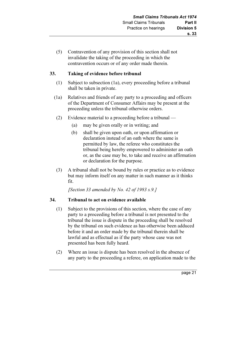(5) Contravention of any provision of this section shall not invalidate the taking of the proceeding in which the contravention occurs or of any order made therein.

# 33. Taking of evidence before tribunal

- (1) Subject to subsection (1a), every proceeding before a tribunal shall be taken in private.
- (1a) Relatives and friends of any party to a proceeding and officers of the Department of Consumer Affairs may be present at the proceeding unless the tribunal otherwise orders.
- (2) Evidence material to a proceeding before a tribunal
	- (a) may be given orally or in writing; and
	- (b) shall be given upon oath, or upon affirmation or declaration instead of an oath where the same is permitted by law, the referee who constitutes the tribunal being hereby empowered to administer an oath or, as the case may be, to take and receive an affirmation or declaration for the purpose.
- (3) A tribunal shall not be bound by rules or practice as to evidence but may inform itself on any matter in such manner as it thinks fit.

[Section 33 amended by No. 42 of 1983 s.9.]

# 34. Tribunal to act on evidence available

- (1) Subject to the provisions of this section, where the case of any party to a proceeding before a tribunal is not presented to the tribunal the issue is dispute in the proceeding shall be resolved by the tribunal on such evidence as has otherwise been adduced before it and an order made by the tribunal therein shall be lawful and as effectual as if the party whose case was not presented has been fully heard.
- (2) Where an issue is dispute has been resolved in the absence of any party to the proceeding a referee, on application made to the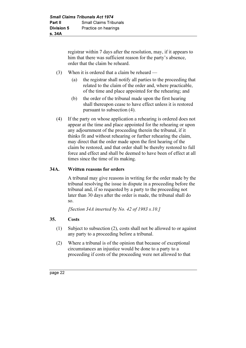registrar within 7 days after the resolution, may, if it appears to him that there was sufficient reason for the party's absence. order that the claim be reheard.

- (3) When it is ordered that a claim be reheard
	- (a) the registrar shall notify all parties to the proceeding that related to the claim of the order and, where practicable, of the time and place appointed for the rehearing; and
	- (b) the order of the tribunal made upon the first hearing shall thereupon cease to have effect unless it is restored pursuant to subsection (4).
- (4) If the party on whose application a rehearing is ordered does not appear at the time and place appointed for the rehearing or upon any adjournment of the proceeding therein the tribunal, if it thinks fit and without rehearing or further rehearing the claim, may direct that the order made upon the first hearing of the claim be restored, and that order shall be thereby restored to full force and effect and shall be deemed to have been of effect at all times since the time of its making.

# 34A. Written reasons for orders

 A tribunal may give reasons in writing for the order made by the tribunal resolving the issue in dispute in a proceeding before the tribunal and, if so requested by a party to the proceeding not later than 30 days after the order is made, the tribunal shall do so.

[Section 34A inserted by No. 42 of 1983 s.10.]

#### 35. Costs

- (1) Subject to subsection (2), costs shall not be allowed to or against any party to a proceeding before a tribunal.
- (2) Where a tribunal is of the opinion that because of exceptional circumstances an injustice would be done to a party to a proceeding if costs of the proceeding were not allowed to that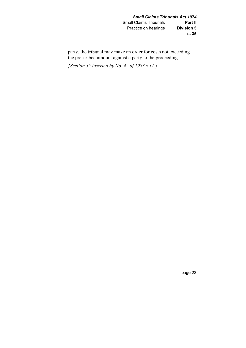party, the tribunal may make an order for costs not exceeding the prescribed amount against a party to the proceeding.

[Section 35 inserted by No. 42 of 1983 s.11.]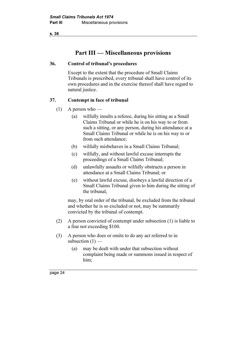s. 36

# Part III — Miscellaneous provisions

#### 36. Control of tribunal's procedures

 Except to the extent that the procedure of Small Claims Tribunals is prescribed, every tribunal shall have control of its own procedures and in the exercise thereof shall have regard to natural justice.

#### 37. Contempt in face of tribunal

- $(1)$  A person who
	- (a) wilfully insults a referee, during his sitting as a Small Claims Tribunal or while he is on his way to or from such a sitting, or any person, during his attendance at a Small Claims Tribunal or while he is on his way to or from such attendance;
	- (b) wilfully misbehaves in a Small Claims Tribunal;
	- (c) wilfully, and without lawful excuse interrupts the proceedings of a Small Claims Tribunal;
	- (d) unlawfully assaults or wilfully obstructs a person in attendance at a Small Claims Tribunal; or
	- (e) without lawful excuse, disobeys a lawful direction of a Small Claims Tribunal given to him during the sitting of the tribunal,

 may, by oral order of the tribunal, be excluded from the tribunal and whether he is so excluded or not, may be summarily convicted by the tribunal of contempt.

- (2) A person convicted of contempt under subsection (1) is liable to a fine not exceeding \$100.
- (3) A person who does or omits to do any act referred to in subsection  $(1)$  —
	- (a) may be dealt with under that subsection without complaint being made or summons issued in respect of him;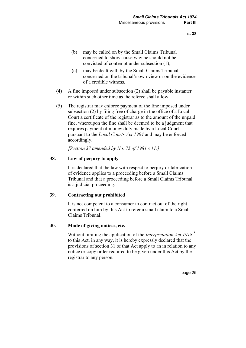- (b) may be called on by the Small Claims Tribunal concerned to show cause why he should not be convicted of contempt under subsection (1);
- (c) may be dealt with by the Small Claims Tribunal concerned on the tribunal's own view or on the evidence of a credible witness.
- (4) A fine imposed under subsection (2) shall be payable instanter or within such other time as the referee shall allow.
- (5) The registrar may enforce payment of the fine imposed under subsection (2) by filing free of charge in the office of a Local Court a certificate of the registrar as to the amount of the unpaid fine, whereupon the fine shall be deemed to be a judgment that requires payment of money duly made by a Local Court pursuant to the Local Courts Act 1904 and may be enforced accordingly.

[Section 37 amended by No. 75 of 1981 s.11.]

#### 38. Law of perjury to apply

 It is declared that the law with respect to perjury or fabrication of evidence applies to a proceeding before a Small Claims Tribunal and that a proceeding before a Small Claims Tribunal is a judicial proceeding.

#### 39. Contracting out prohibited

 It is not competent to a consumer to contract out of the right conferred on him by this Act to refer a small claim to a Small Claims Tribunal.

#### 40. Mode of giving notices, etc.

Without limiting the application of the *Interpretation Act 1918*<sup>5</sup> to this Act, in any way, it is hereby expressly declared that the provisions of section 31 of that Act apply to an in relation to any notice or copy order required to be given under this Act by the registrar to any person.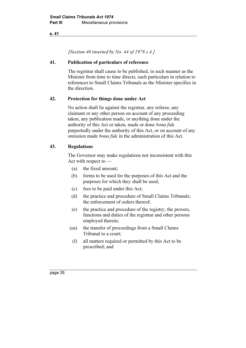#### s. 41

[Section 40 inserted by No. 44 of 1978 s.4.]

#### 41. Publication of particulars of reference

 The registrar shall cause to be published, in such manner as the Minister from time to time directs, such particulars in relation to references to Small Claims Tribunals as the Minister specifies in the direction.

#### 42. Protection for things done under Act

 No action shall lie against the registrar, any referee, any claimant or any other person on account of any proceeding taken, any publication made, or anything done under the authority of this Act or taken, made or done bona fide purportedly under the authority of this Act, or on account of any omission made bona fide in the administration of this Act.

#### 43. Regulations

 The Governor may make regulations not inconsistent with this Act with respect to —

- (a) the fixed amount;
- (b) forms to be used for the purposes of this Act and the purposes for which they shall be used;
- (c) fees to be paid under this Act;
- (d) the practice and procedure of Small Claims Tribunals; the enforcement of orders thereof;
- (e) the practice and procedure of the registry; the powers, functions and duties of the registrar and other persons employed therein;
- (ea) the transfer of proceedings from a Small Claims Tribunal to a court;
	- (f) all matters required or permitted by this Act to be prescribed; and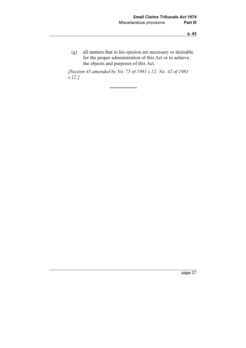(g) all matters that in his opinion are necessary or desirable for the proper administration of this Act or to achieve the objects and purposes of this Act.

 [Section 43 amended by No. 75 of 1981 s.12; No. 42 of 1983 s.12.]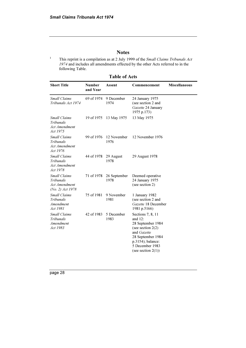1

#### **Notes**

This reprint is a compilation as at 2 July 1999 of the Small Claims Tribunals Act 1974 and includes all amendments effected by the other Acts referred to in the following Table.

Table of Acts

| <b>Short Title</b>                                                    | <b>Number</b><br>and Year | Assent               | Commencement                                                                                                                                                                       | <b>Miscellaneous</b> |
|-----------------------------------------------------------------------|---------------------------|----------------------|------------------------------------------------------------------------------------------------------------------------------------------------------------------------------------|----------------------|
| Small Claims<br>Tribunals Act 1974                                    | 69 of 1974                | 9 December<br>1974   | 24 January 1975<br>(see section 2 and<br>Gazette 24 January<br>1975 p.173)                                                                                                         |                      |
| <b>Small Claims</b><br>Tribunals<br>Act Amendment<br>Act 1975         | 19 of 1975                | 13 May 1975          | 13 May 1975                                                                                                                                                                        |                      |
| <b>Small Claims</b><br><b>Tribunals</b><br>Act Amendment<br>Act 1976  | 99 of 1976                | 12 November<br>1976  | 12 November 1976                                                                                                                                                                   |                      |
| <b>Small Claims</b><br>Tribunals<br>Act Amendment<br>Act 1978         | 44 of 1978                | 29 August<br>1978    | 29 August 1978                                                                                                                                                                     |                      |
| <b>Small Claims</b><br>Tribunals<br>Act Amendment<br>(No. 2) Act 1978 | 71 of 1978                | 26 September<br>1978 | Deemed operative<br>24 January 1975<br>(see section 2)                                                                                                                             |                      |
| <b>Small Claims</b><br>Tribunals<br>Amendment<br>Act 1981             | 75 of 1981                | 9 November<br>1981   | 1 January 1982<br>(see section 2 and<br>Gazette 18 December<br>1981 p.5166)                                                                                                        |                      |
| <b>Small Claims</b><br>Tribunals<br>Amendment<br>Act 1983             | 42 of 1983                | 5 December<br>1983   | Sections 7, 8, 11<br>and $12$ :<br>28 September 1984<br>(see section $2(2)$ )<br>and Gazette<br>28 September 1984<br>p.3154); balance:<br>5 December 1983<br>(see section $2(1)$ ) |                      |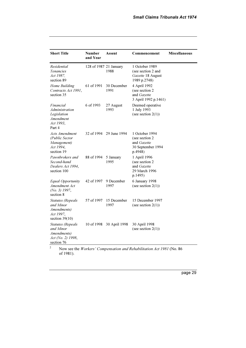| <b>Short Title</b>                                                                                        | <b>Number</b><br>and Year | Assent                  | Commencement                                                                            | <b>Miscellaneous</b> |
|-----------------------------------------------------------------------------------------------------------|---------------------------|-------------------------|-----------------------------------------------------------------------------------------|----------------------|
| Residential<br><b>Tenancies</b><br>Act 1987.<br>section 89                                                | 128 of 1987 21 January    | 1988                    | 1 October 1989<br>(see section 2 and<br>Gazette 18 August<br>1989 p.2748)               |                      |
| Home Building<br>Contracts Act 1991,<br>section 35                                                        | 61 of 1991                | 30 December<br>1991     | 4 April 1992<br>(see section 2<br>and Gazette<br>3 April 1992 p.1461)                   |                      |
| Financial<br>Administration<br>Legislation<br>Amendment<br>Act 1993,<br>Part 4                            | 6 of 1993                 | 27 August<br>1993       | Deemed operative<br>1 July 1993<br>(see section $2(1)$ )                                |                      |
| Acts Amendment<br>(Public Sector<br>Management)<br>Act 1994,<br>section 19                                |                           | 32 of 1994 29 June 1994 | 1 October 1994<br>(see section 2)<br>and <i>Gazette</i><br>30 September 1994<br>p.4948) |                      |
| Pawnbrokers and<br>Second-hand<br>Dealers Act 1994,<br>section 100                                        | 88 of 1994                | 5 January<br>1995       | 1 April 1996<br>(see section 2)<br>and Gazette<br>29 March 1996<br>p.1495)              |                      |
| <b>Equal Opportunity</b><br>Amendment Act<br>$(No. 3)$ 1997,<br>section 8                                 | 42 of 1997                | 9 December<br>1997      | 6 January 1998<br>(see section $2(1)$ )                                                 |                      |
| <b>Statutes</b> (Repeals<br>and Minor<br>Amendments)<br>Act 1997,<br>section $39(10)$                     | 57 of 1997                | 15 December<br>1997     | 15 December 1997<br>(see section $2(1)$ )                                               |                      |
| <b>Statutes</b> (Repeals<br>and Minor<br>Amendments)<br>Act (No. 2) 1998,<br>section 76<br>$\overline{c}$ | 10 of 1998                | 30 April 1998           | 30 April 1998<br>(see section $2(1)$ )                                                  |                      |

 Now see the Workers' Compensation and Rehabilitation Act 1981 (No. 86 of 1981).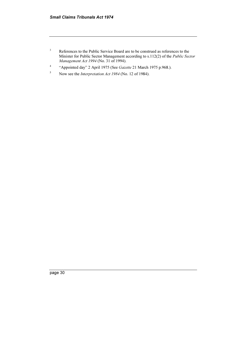- 3 References to the Public Service Board are to be construed as references to the Minister for Public Sector Management according to s.112(2) of the Public Sector Management Act 1994 (No. 31 of 1994).
- 4 "Appointed day" 2 April 1975 (See Gazette 21 March 1975 p.968.).
- 5 Now see the Interpretation Act 1984 (No. 12 of 1984).